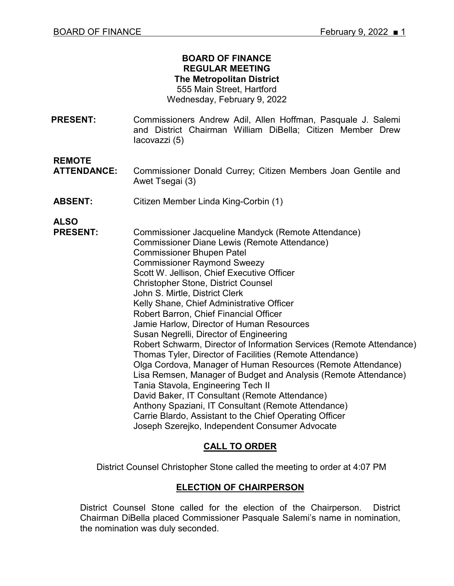### **BOARD OF FINANCE REGULAR MEETING The Metropolitan District** 555 Main Street, Hartford

Wednesday, February 9, 2022

**PRESENT:** Commissioners Andrew Adil, Allen Hoffman, Pasquale J. Salemi and District Chairman William DiBella; Citizen Member Drew Iacovazzi (5)

**REMOTE**

- Commissioner Donald Currey; Citizen Members Joan Gentile and Awet Tsegai (3)
- **ABSENT:** Citizen Member Linda King-Corbin (1)

**ALSO** 

**PRESENT:** Commissioner Jacqueline Mandyck (Remote Attendance) Commissioner Diane Lewis (Remote Attendance) Commissioner Bhupen Patel Commissioner Raymond Sweezy Scott W. Jellison, Chief Executive Officer Christopher Stone, District Counsel John S. Mirtle, District Clerk Kelly Shane, Chief Administrative Officer Robert Barron, Chief Financial Officer Jamie Harlow, Director of Human Resources Susan Negrelli, Director of Engineering Robert Schwarm, Director of Information Services (Remote Attendance) Thomas Tyler, Director of Facilities (Remote Attendance) Olga Cordova, Manager of Human Resources (Remote Attendance) Lisa Remsen, Manager of Budget and Analysis (Remote Attendance) Tania Stavola, Engineering Tech II David Baker, IT Consultant (Remote Attendance) Anthony Spaziani, IT Consultant (Remote Attendance) Carrie Blardo, Assistant to the Chief Operating Officer Joseph Szerejko, Independent Consumer Advocate

# **CALL TO ORDER**

District Counsel Christopher Stone called the meeting to order at 4:07 PM

### **ELECTION OF CHAIRPERSON**

District Counsel Stone called for the election of the Chairperson. District Chairman DiBella placed Commissioner Pasquale Salemi's name in nomination, the nomination was duly seconded.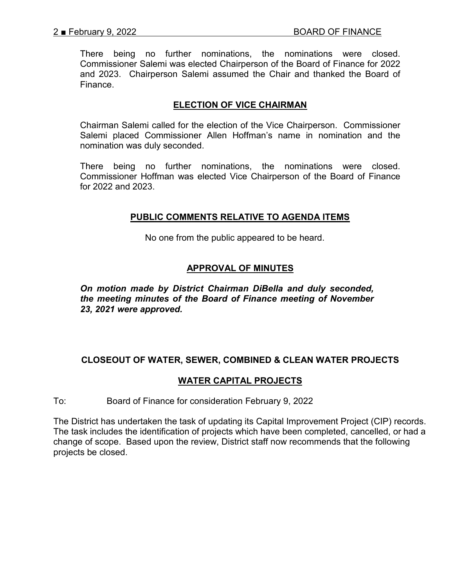There being no further nominations, the nominations were closed. Commissioner Salemi was elected Chairperson of the Board of Finance for 2022 and 2023. Chairperson Salemi assumed the Chair and thanked the Board of Finance.

### **ELECTION OF VICE CHAIRMAN**

Chairman Salemi called for the election of the Vice Chairperson. Commissioner Salemi placed Commissioner Allen Hoffman's name in nomination and the nomination was duly seconded.

There being no further nominations, the nominations were closed. Commissioner Hoffman was elected Vice Chairperson of the Board of Finance for 2022 and 2023.

### **PUBLIC COMMENTS RELATIVE TO AGENDA ITEMS**

No one from the public appeared to be heard.

### **APPROVAL OF MINUTES**

*On motion made by District Chairman DiBella and duly seconded, the meeting minutes of the Board of Finance meeting of November 23, 2021 were approved.*

# **CLOSEOUT OF WATER, SEWER, COMBINED & CLEAN WATER PROJECTS**

### **WATER CAPITAL PROJECTS**

To: Board of Finance for consideration February 9, 2022

The District has undertaken the task of updating its Capital Improvement Project (CIP) records. The task includes the identification of projects which have been completed, cancelled, or had a change of scope. Based upon the review, District staff now recommends that the following projects be closed.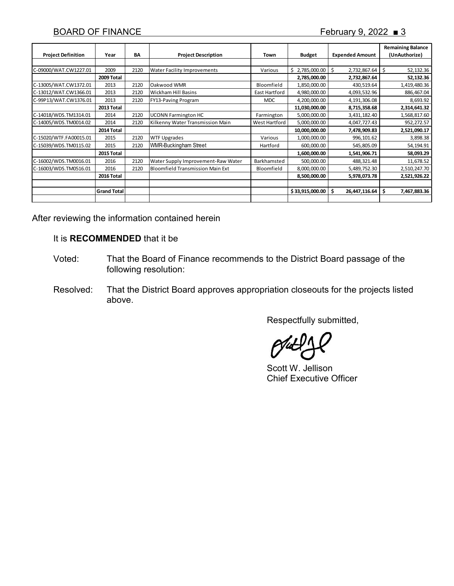|                           |                    |      |                                         |               |                 |                        | <b>Remaining Balance</b> |
|---------------------------|--------------------|------|-----------------------------------------|---------------|-----------------|------------------------|--------------------------|
| <b>Project Definition</b> | Year               | BA   | <b>Project Description</b>              | Town          | <b>Budget</b>   | <b>Expended Amount</b> | (UnAuthorize)            |
|                           |                    |      |                                         |               |                 |                        |                          |
| C-09000/WAT.CW1227.01     | 2009               | 2120 | <b>Water Facility Improvements</b>      | Various       | \$2,785,000.00  | \$<br>2,732,867.64     | 52,132.36<br>\$          |
|                           | 2009 Total         |      |                                         |               | 2,785,000.00    | 2,732,867.64           | 52,132.36                |
| C-13005/WAT.CW1372.01     | 2013               | 2120 | Oakwood WMR                             | Bloomfield    | 1,850,000.00    | 430,519.64             | 1,419,480.36             |
| C-13012/WAT.CW1366.01     | 2013               | 2120 | <b>Wickham Hill Basins</b>              | East Hartford | 4,980,000.00    | 4,093,532.96           | 886,467.04               |
| C-99P13/WAT.CW1376.01     | 2013               | 2120 | FY13-Paving Program                     | <b>MDC</b>    | 4,200,000.00    | 4,191,306.08           | 8,693.92                 |
|                           | 2013 Total         |      |                                         |               | 11,030,000.00   | 8,715,358.68           | 2,314,641.32             |
| C-14018/WDS.TM1314.01     | 2014               | 2120 | <b>UCONN Farmington HC</b>              | Farmington    | 5,000,000.00    | 3,431,182.40           | 1,568,817.60             |
| C-14005/WDS.TM0014.02     | 2014               | 2120 | Kilkenny Water Transmission Main        | West Hartford | 5,000,000.00    | 4,047,727.43           | 952,272.57               |
|                           | 2014 Total         |      |                                         |               | 10,000,000.00   | 7,478,909.83           | 2,521,090.17             |
| C-15020/WTF.FA00015.01    | 2015               | 2120 | <b>WTF Upgrades</b>                     | Various       | 1,000,000.00    | 996,101.62             | 3,898.38                 |
| C-15039/WDS.TM0115.02     | 2015               | 2120 | <b>WMR-Buckingham Street</b>            | Hartford      | 600,000.00      | 545,805.09             | 54,194.91                |
|                           | 2015 Total         |      |                                         |               | 1,600,000.00    | 1,541,906.71           | 58,093.29                |
| C-16002/WDS.TM0016.01     | 2016               | 2120 | Water Supply Improvement-Raw Water      | Barkhamsted   | 500,000.00      | 488,321.48             | 11,678.52                |
| C-16003/WDS.TM0516.01     | 2016               | 2120 | <b>Bloomfield Transmission Main Ext</b> | Bloomfield    | 8,000,000.00    | 5,489,752.30           | 2,510,247.70             |
|                           | 2016 Total         |      |                                         |               | 8,500,000.00    | 5,978,073.78           | 2,521,926.22             |
|                           |                    |      |                                         |               |                 |                        |                          |
|                           | <b>Grand Total</b> |      |                                         |               | \$33,915,000.00 | \$<br>26,447,116.64    | \$<br>7,467,883.36       |
|                           |                    |      |                                         |               |                 |                        |                          |

After reviewing the information contained herein

#### It is **RECOMMENDED** that it be

- Voted: That the Board of Finance recommends to the District Board passage of the following resolution:
- Resolved: That the District Board approves appropriation closeouts for the projects listed above.

Respectfully submitted,

Scott W. Jellison Chief Executive Officer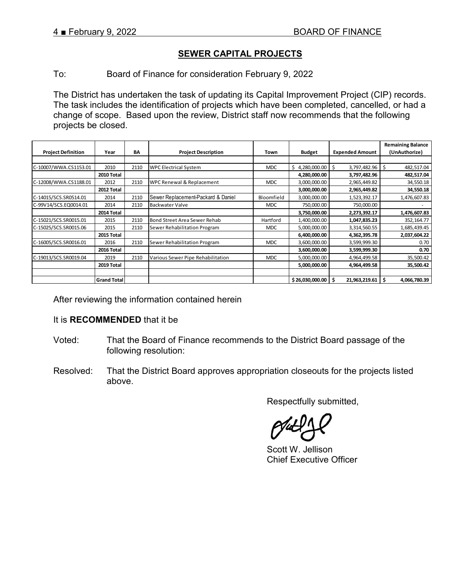# **SEWER CAPITAL PROJECTS**

To: Board of Finance for consideration February 9, 2022

The District has undertaken the task of updating its Capital Improvement Project (CIP) records. The task includes the identification of projects which have been completed, cancelled, or had a change of scope. Based upon the review, District staff now recommends that the following projects be closed.

|                           |                    |      |                                    |            |                 |                        | <b>Remaining Balance</b> |
|---------------------------|--------------------|------|------------------------------------|------------|-----------------|------------------------|--------------------------|
| <b>Project Definition</b> | Year               | BA   | <b>Project Description</b>         | Town       | <b>Budget</b>   | <b>Expended Amount</b> | (UnAuthorize)            |
|                           |                    |      |                                    |            |                 |                        |                          |
| C-10007/WWA.CS1153.01     | 2010               | 2110 | <b>WPC Electrical System</b>       | <b>MDC</b> | \$4,280,000.00  | Ŝ.<br>3,797,482.96     | \$<br>482,517.04         |
|                           | 2010 Total         |      |                                    |            | 4,280,000.00    | 3,797,482.96           | 482,517.04               |
| C-12008/WWA.CS1188.01     | 2012               | 2110 | WPC Renewal & Replacement          | <b>MDC</b> | 3,000,000.00    | 2,965,449.82           | 34,550.18                |
|                           | 2012 Total         |      |                                    |            | 3,000,000.00    | 2,965,449.82           | 34,550.18                |
| C-14015/SCS.SR0514.01     | 2014               | 2110 | Sewer Replacement-Packard & Daniel | Bloomfield | 3,000,000.00    | 1,523,392.17           | 1,476,607.83             |
| C-99V14/SCS.EQ0014.01     | 2014               | 2110 | <b>Backwater Valve</b>             | MDC.       | 750,000.00      | 750,000.00             |                          |
|                           | 2014 Total         |      |                                    |            | 3,750,000.00    | 2,273,392.17           | 1,476,607.83             |
| C-15021/SCS.SR0015.01     | 2015               | 2110 | Bond Street Area Sewer Rehab       | Hartford   | 1,400,000.00    | 1,047,835.23           | 352,164.77               |
| C-15025/SCS.SR0015.06     | 2015               | 2110 | Sewer Rehabilitation Program       | <b>MDC</b> | 5,000,000.00    | 3,314,560.55           | 1,685,439.45             |
|                           | 2015 Total         |      |                                    |            | 6,400,000.00    | 4,362,395.78           | 2,037,604.22             |
| C-16005/SCS.SR0016.01     | 2016               | 2110 | Sewer Rehabilitation Program       | <b>MDC</b> | 3,600,000.00    | 3,599,999.30           | 0.70                     |
|                           | 2016 Total         |      |                                    |            | 3,600,000.00    | 3,599,999.30           | 0.70                     |
| C-19013/SCS.SR0019.04     | 2019               | 2110 | Various Sewer Pipe Rehabilitation  | <b>MDC</b> | 5,000,000.00    | 4,964,499.58           | 35,500.42                |
|                           | 2019 Total         |      |                                    |            | 5,000,000.00    | 4,964,499.58           | 35,500.42                |
|                           |                    |      |                                    |            |                 |                        |                          |
|                           | <b>Grand Total</b> |      |                                    |            | \$26,030,000.00 | 21,963,219.61<br>S     | \$.<br>4,066,780.39      |

After reviewing the information contained herein

### It is **RECOMMENDED** that it be

- Voted: That the Board of Finance recommends to the District Board passage of the following resolution:
- Resolved: That the District Board approves appropriation closeouts for the projects listed above.

Respectfully submitted,

Scott W. Jellison Chief Executive Officer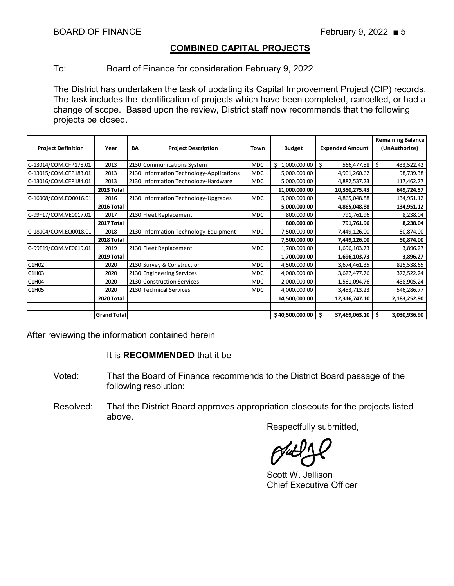# **COMBINED CAPITAL PROJECTS**

To: Board of Finance for consideration February 9, 2022

The District has undertaken the task of updating its Capital Improvement Project (CIP) records. The task includes the identification of projects which have been completed, cancelled, or had a change of scope. Based upon the review, District staff now recommends that the following projects be closed.

|                           |                   |    |                                          |            |                    |                        | <b>Remaining Balance</b> |
|---------------------------|-------------------|----|------------------------------------------|------------|--------------------|------------------------|--------------------------|
| <b>Project Definition</b> | Year              | BA | <b>Project Description</b>               | Town       | <b>Budget</b>      | <b>Expended Amount</b> | (UnAuthorize)            |
|                           |                   |    |                                          |            |                    |                        |                          |
| C-13014/COM.CFP178.01     | 2013              |    | 2130 Communications System               | <b>MDC</b> | 1,000,000.00<br>Ś. | \$<br>566,477.58       | \$<br>433,522.42         |
| C-13015/COM.CFP183.01     | 2013              |    | 2130 Information Technology-Applications | <b>MDC</b> | 5,000,000.00       | 4,901,260.62           | 98,739.38                |
| C-13016/COM.CFP184.01     | 2013              |    | 2130 Information Technology-Hardware     | <b>MDC</b> | 5,000,000.00       | 4,882,537.23           | 117,462.77               |
|                           | 2013 Total        |    |                                          |            | 11,000,000.00      | 10,350,275.43          | 649,724.57               |
| C-16008/COM.EQ0016.01     | 2016              |    | 2130 Information Technology-Upgrades     | <b>MDC</b> | 5,000,000.00       | 4,865,048.88           | 134,951.12               |
|                           | 2016 Total        |    |                                          |            | 5,000,000.00       | 4,865,048.88           | 134,951.12               |
| C-99F17/COM.VE0017.01     | 2017              |    | 2130 Fleet Replacement                   | <b>MDC</b> | 800,000.00         | 791,761.96             | 8,238.04                 |
|                           | 2017 Total        |    |                                          |            | 800,000.00         | 791,761.96             | 8,238.04                 |
| C-18004/COM.EQ0018.01     | 2018              |    | 2130 Information Technology-Equipment    | <b>MDC</b> | 7,500,000.00       | 7,449,126.00           | 50,874.00                |
|                           | 2018 Total        |    |                                          |            | 7,500,000.00       | 7,449,126.00           | 50,874.00                |
| C-99F19/COM.VE0019.01     | 2019              |    | 2130 Fleet Replacement                   | <b>MDC</b> | 1,700,000.00       | 1,696,103.73           | 3,896.27                 |
|                           | 2019 Total        |    |                                          |            | 1,700,000.00       | 1,696,103.73           | 3,896.27                 |
| C1H02                     | 2020              |    | 2130 Survey & Construction               | <b>MDC</b> | 4,500,000.00       | 3,674,461.35           | 825,538.65               |
| C1H03                     | 2020              |    | 2130 Engineering Services                | <b>MDC</b> | 4,000,000.00       | 3,627,477.76           | 372,522.24               |
| C1H04                     | 2020              |    | 2130 Construction Services               | <b>MDC</b> | 2,000,000.00       | 1,561,094.76           | 438,905.24               |
| C1H05                     | 2020              |    | 2130 Technical Services                  | <b>MDC</b> | 4,000,000.00       | 3,453,713.23           | 546,286.77               |
|                           | <b>2020 Total</b> |    |                                          |            | 14,500,000.00      | 12,316,747.10          | 2,183,252.90             |
|                           |                   |    |                                          |            |                    |                        |                          |
|                           | Grand Total       |    |                                          |            | \$40,500,000.00    | \$<br>37,469,063.10    | \$<br>3,030,936.90       |

After reviewing the information contained herein

### It is **RECOMMENDED** that it be

- Voted: That the Board of Finance recommends to the District Board passage of the following resolution:
- Resolved: That the District Board approves appropriation closeouts for the projects listed above.

Respectfully submitted,

Scott W. Jellison Chief Executive Officer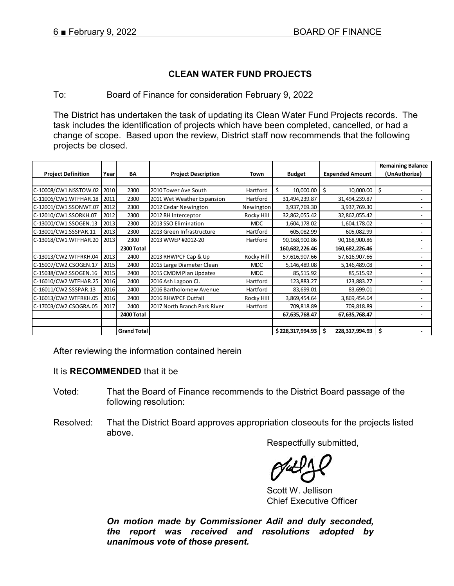# **CLEAN WATER FUND PROJECTS**

### To: Board of Finance for consideration February 9, 2022

The District has undertaken the task of updating its Clean Water Fund Projects records. The task includes the identification of projects which have been completed, cancelled, or had a change of scope. Based upon the review, District staff now recommends that the following projects be closed.

|                           |      |                    |                              |            |                  |                        | <b>Remaining Balance</b> |
|---------------------------|------|--------------------|------------------------------|------------|------------------|------------------------|--------------------------|
| <b>Project Definition</b> | Year | BA                 | <b>Project Description</b>   | Town       | <b>Budget</b>    | <b>Expended Amount</b> | (UnAuthorize)            |
|                           |      |                    |                              |            |                  |                        |                          |
| C-10008/CW1.NSSTOW.02     | 2010 | 2300               | 2010 Tower Ave South         | Hartford   | \$<br>10,000.00  | Ŝ.<br>10,000.00        | \$                       |
| C-11006/CW1.WTFHAR.18     | 2011 | 2300               | 2011 Wet Weather Expansion   | Hartford   | 31,494,239.87    | 31,494,239.87          |                          |
| C-12001/CW1.SSONWT.07     | 2012 | 2300               | 2012 Cedar Newington         | Newington  | 3,937,769.30     | 3,937,769.30           |                          |
| C-12010/CW1.SSORKH.07     | 2012 | 2300               | 2012 RH Interceptor          | Rocky Hill | 32,862,055.42    | 32,862,055.42          |                          |
| C-13000/CW1.SSOGEN.13     | 2013 | 2300               | 2013 SSO Elimination         | <b>MDC</b> | 1,604,178.02     | 1,604,178.02           |                          |
| C-13001/CW1.SSSPAR.11     | 2013 | 2300               | 2013 Green Infrastructure    | Hartford   | 605,082.99       | 605,082.99             |                          |
| C-13018/CW1.WTFHAR.20     | 2013 | 2300               | 2013 WWEP #2012-20           | Hartford   | 90,168,900.86    | 90,168,900.86          |                          |
|                           |      | 2300 Total         |                              |            | 160,682,226.46   | 160,682,226.46         |                          |
| C-13013/CW2.WTFRKH.04     | 2013 | 2400               | 2013 RHWPCF Cap & Up         | Rocky Hill | 57,616,907.66    | 57,616,907.66          |                          |
| C-15007/CW2.CSOGEN.17     | 2015 | 2400               | 2015 Large Diameter Clean    | <b>MDC</b> | 5,146,489.08     | 5,146,489.08           |                          |
| C-15038/CW2.SSOGEN.16     | 2015 | 2400               | 2015 CMOM Plan Updates       | <b>MDC</b> | 85,515.92        | 85,515.92              |                          |
| C-16010/CW2.WTFHAR.25     | 2016 | 2400               | 2016 Ash Lagoon Cl.          | Hartford   | 123,883.27       | 123,883.27             |                          |
| C-16011/CW2.SSSPAR.13     | 2016 | 2400               | 2016 Bartholomew Avenue      | Hartford   | 83,699.01        | 83,699.01              |                          |
| C-16013/CW2.WTFRKH.05     | 2016 | 2400               | 2016 RHWPCF Outfall          | Rocky Hill | 3,869,454.64     | 3,869,454.64           |                          |
| C-17003/CW2.CSOGRA.05     | 2017 | 2400               | 2017 North Branch Park River | Hartford   | 709,818.89       | 709,818.89             |                          |
|                           |      | 2400 Total         |                              |            | 67,635,768.47    | 67,635,768.47          |                          |
|                           |      |                    |                              |            |                  |                        |                          |
|                           |      | <b>Grand Total</b> |                              |            | \$228,317,994.93 | 228,317,994.93         | \$                       |

After reviewing the information contained herein

### It is **RECOMMENDED** that it be

- Voted: That the Board of Finance recommends to the District Board passage of the following resolution:
- Resolved: That the District Board approves appropriation closeouts for the projects listed above.

Respectfully submitted,

Scott W. Jellison Chief Executive Officer

*On motion made by Commissioner Adil and duly seconded, the report was received and resolutions adopted by unanimous vote of those present.*